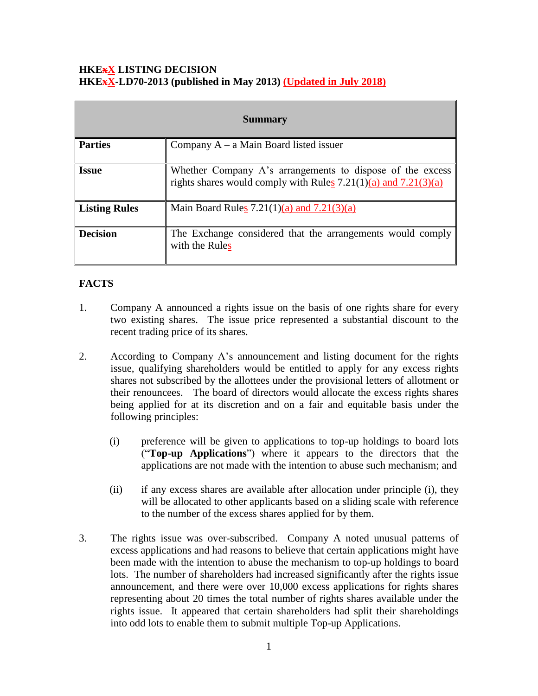## **HKExX LISTING DECISION HKExX-LD70-2013 (published in May 2013) (Updated in July 2018)**

| <b>Summary</b>       |                                                                                                                                  |
|----------------------|----------------------------------------------------------------------------------------------------------------------------------|
| <b>Parties</b>       | Company $A - a$ Main Board listed issuer                                                                                         |
| <b>Issue</b>         | Whether Company A's arrangements to dispose of the excess<br>rights shares would comply with Rules $7.21(1)(a)$ and $7.21(3)(a)$ |
| <b>Listing Rules</b> | Main Board Rules $7.21(1)(a)$ and $7.21(3)(a)$                                                                                   |
| <b>Decision</b>      | The Exchange considered that the arrangements would comply<br>with the Rules                                                     |

## **FACTS**

- 1. Company A announced a rights issue on the basis of one rights share for every two existing shares. The issue price represented a substantial discount to the recent trading price of its shares.
- 2. According to Company A's announcement and listing document for the rights issue, qualifying shareholders would be entitled to apply for any excess rights shares not subscribed by the allottees under the provisional letters of allotment or their renouncees. The board of directors would allocate the excess rights shares being applied for at its discretion and on a fair and equitable basis under the following principles:
	- (i) preference will be given to applications to top-up holdings to board lots ("**Top-up Applications**") where it appears to the directors that the applications are not made with the intention to abuse such mechanism; and
	- (ii) if any excess shares are available after allocation under principle (i), they will be allocated to other applicants based on a sliding scale with reference to the number of the excess shares applied for by them.
- 3. The rights issue was over-subscribed. Company A noted unusual patterns of excess applications and had reasons to believe that certain applications might have been made with the intention to abuse the mechanism to top-up holdings to board lots. The number of shareholders had increased significantly after the rights issue announcement, and there were over 10,000 excess applications for rights shares representing about 20 times the total number of rights shares available under the rights issue. It appeared that certain shareholders had split their shareholdings into odd lots to enable them to submit multiple Top-up Applications.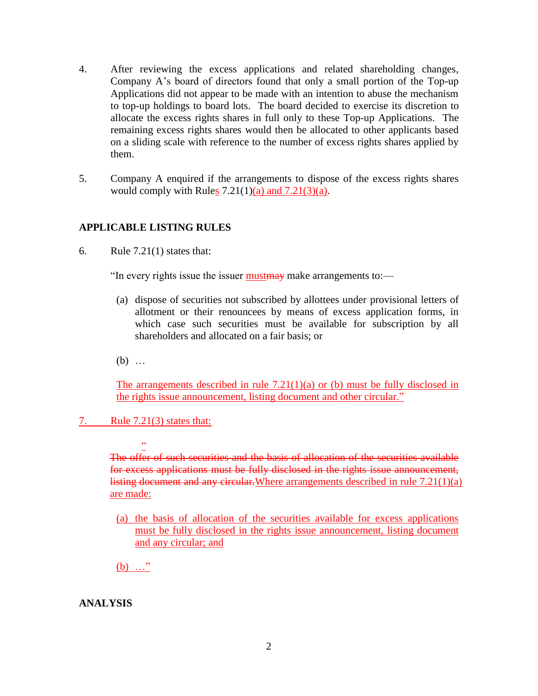- 4. After reviewing the excess applications and related shareholding changes, Company A's board of directors found that only a small portion of the Top-up Applications did not appear to be made with an intention to abuse the mechanism to top-up holdings to board lots. The board decided to exercise its discretion to allocate the excess rights shares in full only to these Top-up Applications. The remaining excess rights shares would then be allocated to other applicants based on a sliding scale with reference to the number of excess rights shares applied by them.
- 5. Company A enquired if the arrangements to dispose of the excess rights shares would comply with Rules  $7.21(1)(a)$  and  $7.21(3)(a)$ .

## **APPLICABLE LISTING RULES**

6. Rule 7.21(1) states that:

"In every rights issue the issuer must make arrangements to:—

- (a) dispose of securities not subscribed by allottees under provisional letters of allotment or their renouncees by means of excess application forms, in which case such securities must be available for subscription by all shareholders and allocated on a fair basis; or
- (b) …

The arrangements described in rule  $7.21(1)(a)$  or (b) must be fully disclosed in the rights issue announcement, listing document and other circular."

7. Rule 7.21(3) states that:

 $\ddot{\phantom{1}}$ 

The offer of such securities and the basis of allocation of the securities available for excess applications must be fully disclosed in the rights issue announcement, listing document and any circular. Where arrangements described in rule 7.21(1)(a) are made:

(a) the basis of allocation of the securities available for excess applications must be fully disclosed in the rights issue announcement, listing document and any circular; and

 $(b)$  ..."

**ANALYSIS**